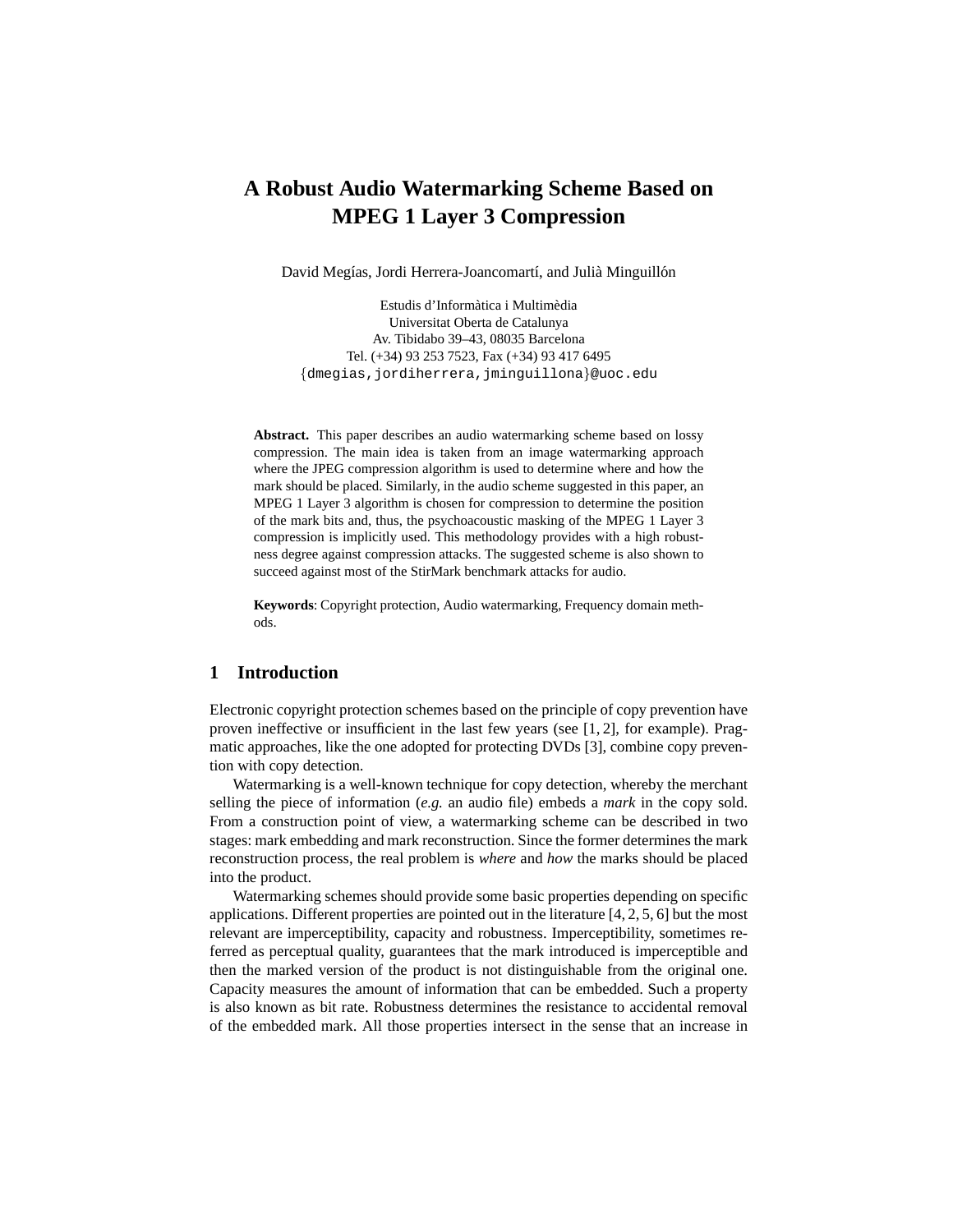# **A Robust Audio Watermarking Scheme Based on MPEG 1 Layer 3 Compression**

David Megías, Jordi Herrera-Joancomartí, and Julià Minguillón

Estudis d'Informàtica i Multimèdia Universitat Oberta de Catalunya Av. Tibidabo 39–43, 08035 Barcelona Tel. (+34) 93 253 7523, Fax (+34) 93 417 6495 {dmegias,jordiherrera,jminguillona}@uoc.edu

**Abstract.** This paper describes an audio watermarking scheme based on lossy compression. The main idea is taken from an image watermarking approach where the JPEG compression algorithm is used to determine where and how the mark should be placed. Similarly, in the audio scheme suggested in this paper, an MPEG 1 Layer 3 algorithm is chosen for compression to determine the position of the mark bits and, thus, the psychoacoustic masking of the MPEG 1 Layer 3 compression is implicitly used. This methodology provides with a high robustness degree against compression attacks. The suggested scheme is also shown to succeed against most of the StirMark benchmark attacks for audio.

**Keywords**: Copyright protection, Audio watermarking, Frequency domain methods.

## **1 Introduction**

Electronic copyright protection schemes based on the principle of copy prevention have proven ineffective or insufficient in the last few years (see [1, 2], for example). Pragmatic approaches, like the one adopted for protecting DVDs [3], combine copy prevention with copy detection.

Watermarking is a well-known technique for copy detection, whereby the merchant selling the piece of information (*e.g.* an audio file) embeds a *mark* in the copy sold. From a construction point of view, a watermarking scheme can be described in two stages: mark embedding and mark reconstruction. Since the former determines the mark reconstruction process, the real problem is *where* and *how* the marks should be placed into the product.

Watermarking schemes should provide some basic properties depending on specific applications. Different properties are pointed out in the literature [4, 2, 5, 6] but the most relevant are imperceptibility, capacity and robustness. Imperceptibility, sometimes referred as perceptual quality, guarantees that the mark introduced is imperceptible and then the marked version of the product is not distinguishable from the original one. Capacity measures the amount of information that can be embedded. Such a property is also known as bit rate. Robustness determines the resistance to accidental removal of the embedded mark. All those properties intersect in the sense that an increase in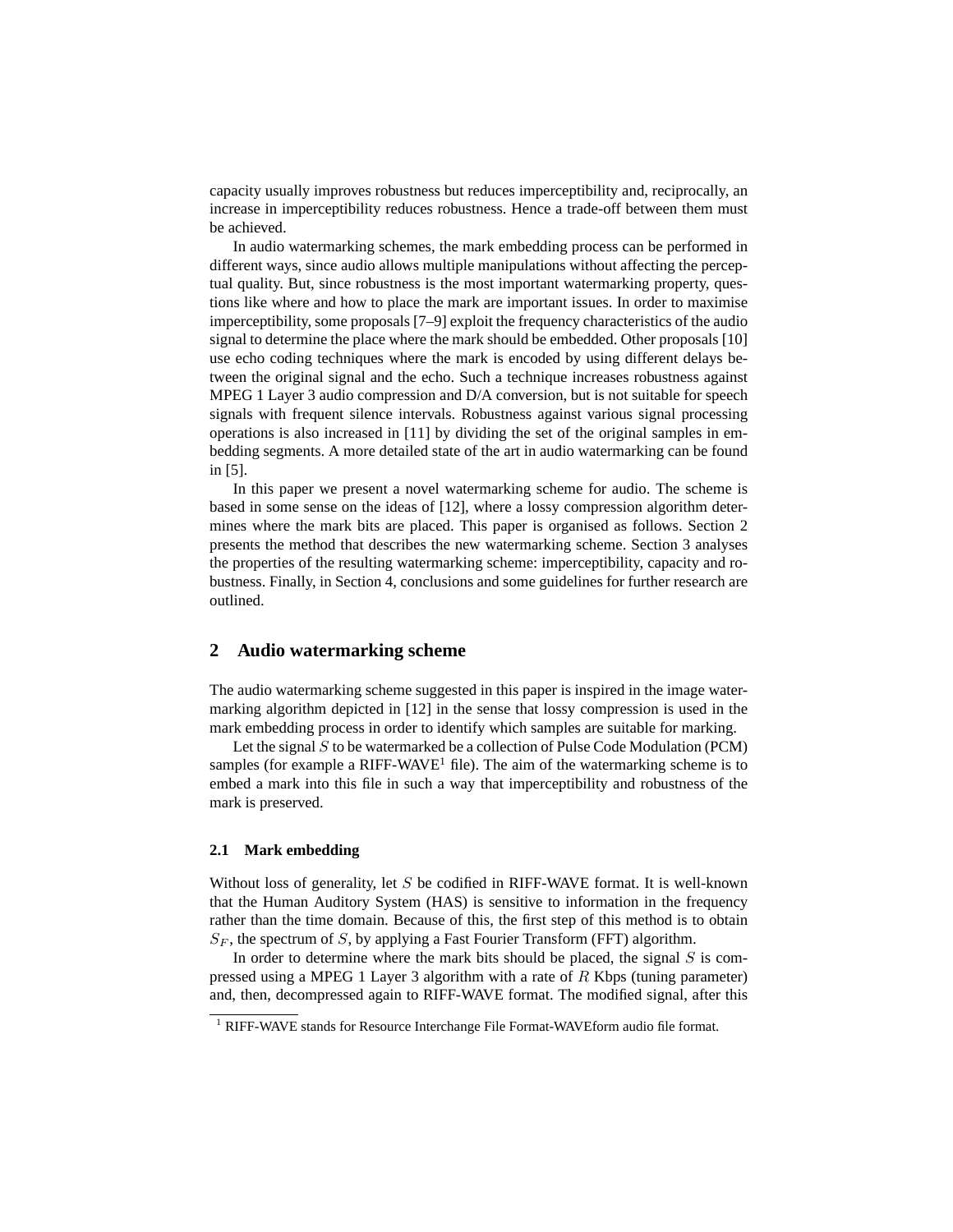capacity usually improves robustness but reduces imperceptibility and, reciprocally, an increase in imperceptibility reduces robustness. Hence a trade-off between them must be achieved.

In audio watermarking schemes, the mark embedding process can be performed in different ways, since audio allows multiple manipulations without affecting the perceptual quality. But, since robustness is the most important watermarking property, questions like where and how to place the mark are important issues. In order to maximise imperceptibility, some proposals [7–9] exploit the frequency characteristics of the audio signal to determine the place where the mark should be embedded. Other proposals [10] use echo coding techniques where the mark is encoded by using different delays between the original signal and the echo. Such a technique increases robustness against MPEG 1 Layer 3 audio compression and D/A conversion, but is not suitable for speech signals with frequent silence intervals. Robustness against various signal processing operations is also increased in [11] by dividing the set of the original samples in embedding segments. A more detailed state of the art in audio watermarking can be found in [5].

In this paper we present a novel watermarking scheme for audio. The scheme is based in some sense on the ideas of [12], where a lossy compression algorithm determines where the mark bits are placed. This paper is organised as follows. Section 2 presents the method that describes the new watermarking scheme. Section 3 analyses the properties of the resulting watermarking scheme: imperceptibility, capacity and robustness. Finally, in Section 4, conclusions and some guidelines for further research are outlined.

## **2 Audio watermarking scheme**

The audio watermarking scheme suggested in this paper is inspired in the image watermarking algorithm depicted in [12] in the sense that lossy compression is used in the mark embedding process in order to identify which samples are suitable for marking.

Let the signal  $S$  to be watermarked be a collection of Pulse Code Modulation (PCM) samples (for example a  $RIFF-WAVE<sup>1</sup>$  file). The aim of the watermarking scheme is to embed a mark into this file in such a way that imperceptibility and robustness of the mark is preserved.

### **2.1 Mark embedding**

Without loss of generality, let  $S$  be codified in RIFF-WAVE format. It is well-known that the Human Auditory System (HAS) is sensitive to information in the frequency rather than the time domain. Because of this, the first step of this method is to obtain  $S_F$ , the spectrum of S, by applying a Fast Fourier Transform (FFT) algorithm.

In order to determine where the mark bits should be placed, the signal  $S$  is compressed using a MPEG 1 Layer 3 algorithm with a rate of  $R$  Kbps (tuning parameter) and, then, decompressed again to RIFF-WAVE format. The modified signal, after this

<sup>&</sup>lt;sup>1</sup> RIFF-WAVE stands for Resource Interchange File Format-WAVEform audio file format.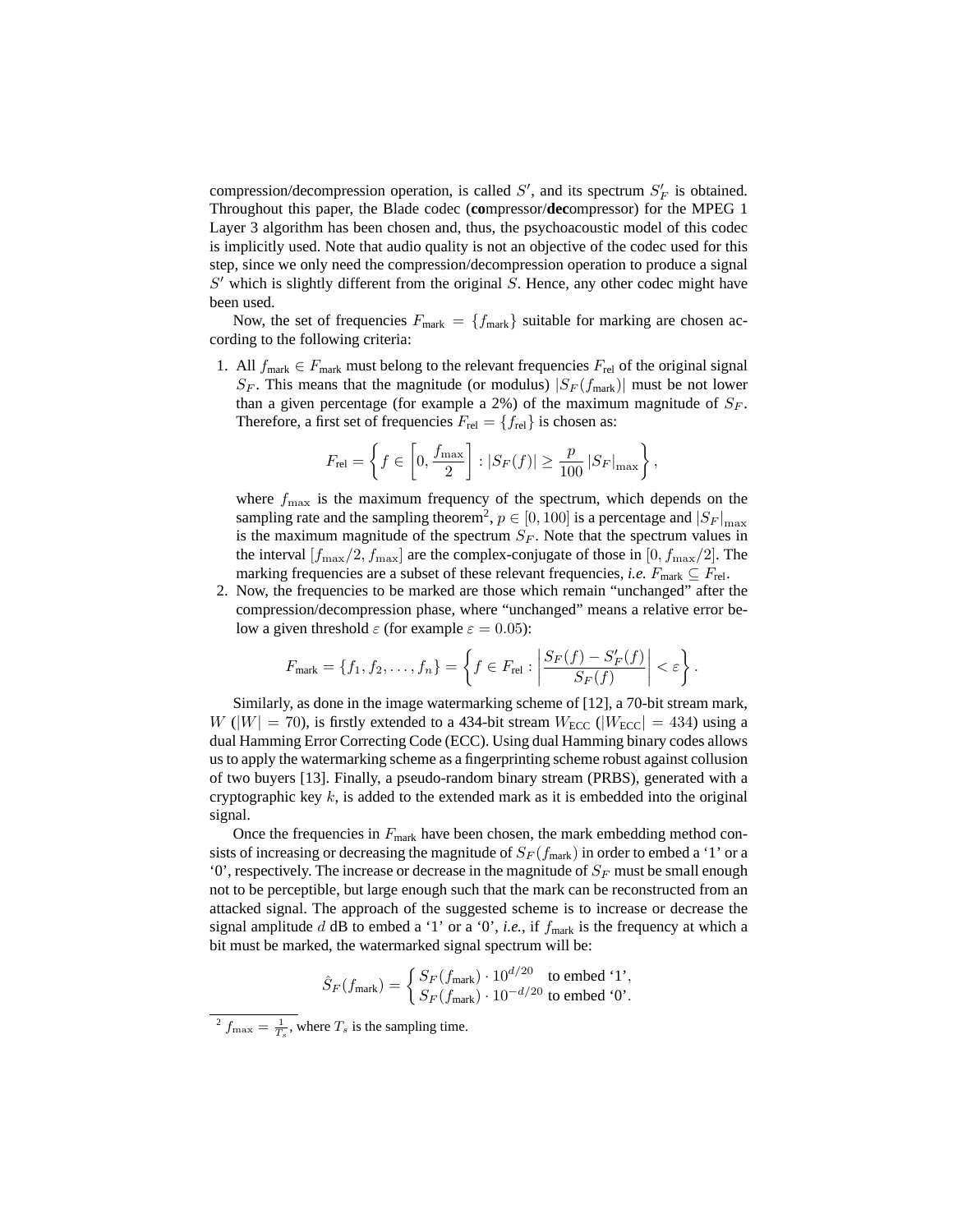compression/decompression operation, is called  $S'$ , and its spectrum  $S'_F$  is obtained. Throughout this paper, the Blade codec (**co**mpressor/**dec**ompressor) for the MPEG 1 Layer 3 algorithm has been chosen and, thus, the psychoacoustic model of this codec is implicitly used. Note that audio quality is not an objective of the codec used for this step, since we only need the compression/decompression operation to produce a signal  $S'$  which is slightly different from the original  $S$ . Hence, any other codec might have been used.

Now, the set of frequencies  $F_{\text{mark}} = \{f_{\text{mark}}\}$  suitable for marking are chosen according to the following criteria:

1. All  $f_{\text{mark}} \in F_{\text{mark}}$  must belong to the relevant frequencies  $F_{\text{rel}}$  of the original signal  $S_F$ . This means that the magnitude (or modulus)  $|S_F(f_{\text{mark}})|$  must be not lower than a given percentage (for example a 2%) of the maximum magnitude of  $S_F$ . Therefore, a first set of frequencies  $F_{rel} = \{f_{rel}\}$  is chosen as:

$$
F_{\text{rel}} = \left\{ f \in \left[0, \frac{f_{\text{max}}}{2}\right] : |S_F(f)| \ge \frac{p}{100} |S_F|_{\text{max}} \right\},\
$$

where  $f_{\text{max}}$  is the maximum frequency of the spectrum, which depends on the sampling rate and the sampling theorem<sup>2</sup>,  $p \in [0, 100]$  is a percentage and  $|S_F|_{\text{max}}$ is the maximum magnitude of the spectrum  $S_F$ . Note that the spectrum values in the interval  $[f_{\text{max}}/2, f_{\text{max}}]$  are the complex-conjugate of those in  $[0, f_{\text{max}}/2]$ . The marking frequencies are a subset of these relevant frequencies, *i.e.*  $F_{\text{mark}} \subseteq F_{\text{rel}}$ .

2. Now, the frequencies to be marked are those which remain "unchanged" after the compression/decompression phase, where "unchanged" means a relative error below a given threshold  $ε$  (for example  $ε = 0.05$ ):

$$
F_{\text{mark}} = \{f_1, f_2, \dots, f_n\} = \left\{f \in F_{\text{rel}} : \left|\frac{S_F(f) - S'_F(f)}{S_F(f)}\right| < \varepsilon\right\}.
$$

Similarly, as done in the image watermarking scheme of [12], a 70-bit stream mark,  $W(|W| = 70)$ , is firstly extended to a 434-bit stream  $W_{\text{ECC}}$  ( $|W_{\text{ECC}}| = 434$ ) using a dual Hamming Error Correcting Code (ECC). Using dual Hamming binary codes allows us to apply the watermarking scheme as a fingerprinting scheme robust against collusion of two buyers [13]. Finally, a pseudo-random binary stream (PRBS), generated with a cryptographic key  $k$ , is added to the extended mark as it is embedded into the original signal.

Once the frequencies in  $F_{\text{mark}}$  have been chosen, the mark embedding method consists of increasing or decreasing the magnitude of  $S_F(f_{\text{mark}})$  in order to embed a '1' or a '0', respectively. The increase or decrease in the magnitude of  $S_F$  must be small enough not to be perceptible, but large enough such that the mark can be reconstructed from an attacked signal. The approach of the suggested scheme is to increase or decrease the signal amplitude d dB to embed a '1' or a '0', *i.e.*, if  $f_{\text{mark}}$  is the frequency at which a bit must be marked, the watermarked signal spectrum will be:

$$
\hat{S}_F(f_{\text{mark}}) = \begin{cases} S_F(f_{\text{mark}}) \cdot 10^{d/20} & \text{to embed '1'},\\ S_F(f_{\text{mark}}) \cdot 10^{-d/20} & \text{to embed '0'}.\end{cases}
$$

 $2 f_{\text{max}} = \frac{1}{T_s}$ , where  $T_s$  is the sampling time.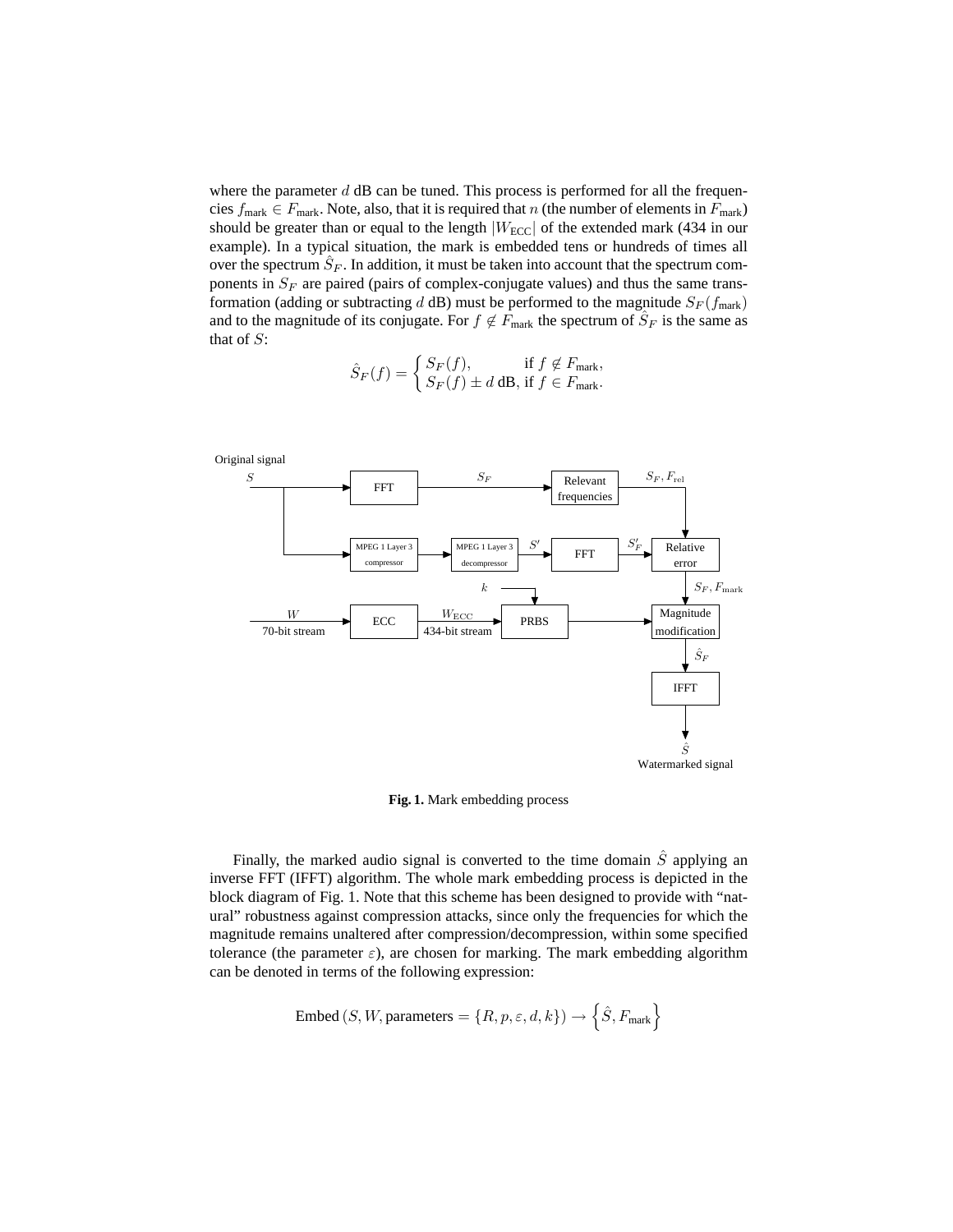where the parameter  $d$  dB can be tuned. This process is performed for all the frequencies  $f_{\text{mark}} \in F_{\text{mark}}$ . Note, also, that it is required that n (the number of elements in  $F_{\text{mark}}$ ) should be greater than or equal to the length  $|W_{\text{ECC}}|$  of the extended mark (434 in our example). In a typical situation, the mark is embedded tens or hundreds of times all over the spectrum  $\hat{S}_F$ . In addition, it must be taken into account that the spectrum components in  $S_F$  are paired (pairs of complex-conjugate values) and thus the same transformation (adding or subtracting d dB) must be performed to the magnitude  $S_F(f_{\text{mark}})$ and to the magnitude of its conjugate. For  $f \notin \overline{F}_{\text{mark}}$  the spectrum of  $\hat{S}_F$  is the same as that of  $S$ :

$$
\hat{S}_F(f) = \begin{cases} S_F(f), & \text{if } f \notin F_{\text{mark}}, \\ S_F(f) \pm d \text{ dB, if } f \in F_{\text{mark}}. \end{cases}
$$



**Fig. 1.** Mark embedding process

Finally, the marked audio signal is converted to the time domain  $\hat{S}$  applying an inverse FFT (IFFT) algorithm. The whole mark embedding process is depicted in the block diagram of Fig. 1. Note that this scheme has been designed to provide with "natural" robustness against compression attacks, since only the frequencies for which the magnitude remains unaltered after compression/decompression, within some specified tolerance (the parameter  $\varepsilon$ ), are chosen for marking. The mark embedding algorithm can be denoted in terms of the following expression:

$$
\text{Embed}\left(S,W,\text{parameters}=\left\{R,p,\varepsilon,d,k\right\}\right)\rightarrow\left\{\hat{S},F_{\text{mark}}\right\}
$$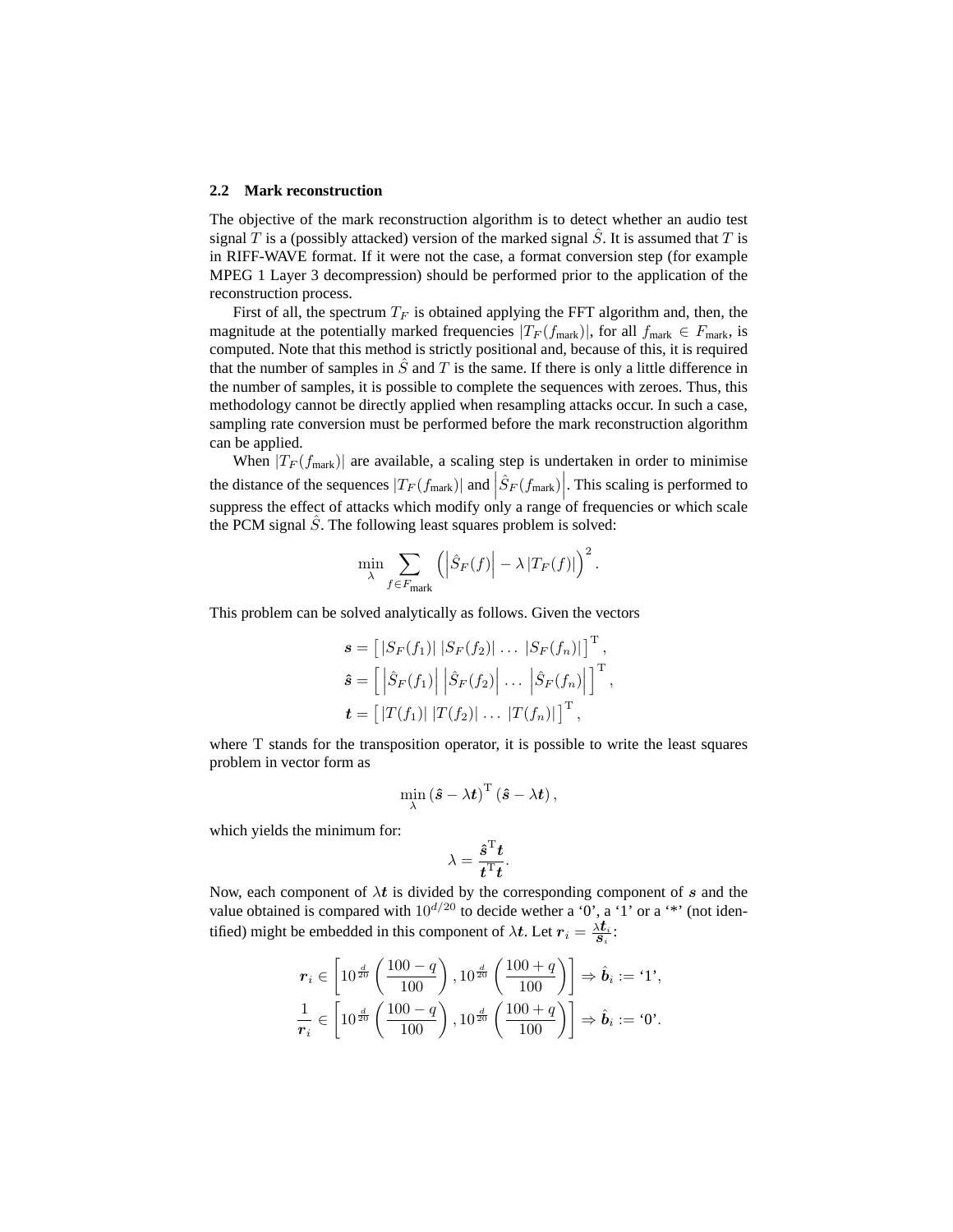#### **2.2 Mark reconstruction**

The objective of the mark reconstruction algorithm is to detect whether an audio test signal T is a (possibly attacked) version of the marked signal  $\ddot{S}$ . It is assumed that T is in RIFF-WAVE format. If it were not the case, a format conversion step (for example MPEG 1 Layer 3 decompression) should be performed prior to the application of the reconstruction process.

First of all, the spectrum  $T_F$  is obtained applying the FFT algorithm and, then, the magnitude at the potentially marked frequencies  $|T_F(f_{\text{mark}})|$ , for all  $f_{\text{mark}} \in F_{\text{mark}}$ , is computed. Note that this method is strictly positional and, because of this, it is required that the number of samples in  $\hat{S}$  and T is the same. If there is only a little difference in the number of samples, it is possible to complete the sequences with zeroes. Thus, this methodology cannot be directly applied when resampling attacks occur. In such a case, sampling rate conversion must be performed before the mark reconstruction algorithm can be applied.

When  $|T_F(f_{\text{mark}})|$  are available, a scaling step is undertaken in order to minimise the distance of the sequences  $|T_F(f_{\text{mark}})|$  and  $|\hat{S}_F(f_{\text{mark}})|$ . This scaling is performed to suppress the effect of attacks which modify only a range of frequencies or which scale the PCM signal  $S$ . The following least squares problem is solved:

$$
\min_{\lambda} \sum_{f \in F_{\text{mark}}} \left( \left| \hat{S}_F(f) \right| - \lambda \left| T_F(f) \right| \right)^2.
$$

This problem can be solved analytically as follows. Given the vectors

$$
s = [ |S_F(f_1)| |S_F(f_2)| \dots |S_F(f_n)| ]^{\mathrm{T}},
$$
  
\n
$$
\hat{s} = [ | \hat{S}_F(f_1) | | \hat{S}_F(f_2) | \dots | \hat{S}_F(f_n) | ]^{\mathrm{T}},
$$
  
\n
$$
t = [ |T(f_1)| |T(f_2)| \dots |T(f_n)| ]^{\mathrm{T}},
$$

where T stands for the transposition operator, it is possible to write the least squares problem in vector form as

$$
\min_{\lambda} \left( \mathbf{\hat{s}} - \lambda \mathbf{t} \right)^{\mathrm{T}} \left( \mathbf{\hat{s}} - \lambda \mathbf{t} \right),
$$

which yields the minimum for:

$$
\lambda = \frac{\hat{\boldsymbol{s}}^{\mathrm{T}}\boldsymbol{t}}{\boldsymbol{t}^{\mathrm{T}}\boldsymbol{t}}.
$$

Now, each component of  $\lambda t$  is divided by the corresponding component of s and the value obtained is compared with  $10^{d/20}$  to decide wether a '0', a '1' or a '\*' (not identified) might be embedded in this component of  $\lambda t$ . Let  $r_i = \frac{\lambda t_i}{s_i}$ :

$$
\boldsymbol{r}_{i} \in \left[10^{\frac{d}{20}} \left(\frac{100 - q}{100}\right), 10^{\frac{d}{20}} \left(\frac{100 + q}{100}\right)\right] \Rightarrow \hat{\boldsymbol{b}}_{i} := '1',
$$
\n
$$
\frac{1}{\boldsymbol{r}_{i}} \in \left[10^{\frac{d}{20}} \left(\frac{100 - q}{100}\right), 10^{\frac{d}{20}} \left(\frac{100 + q}{100}\right)\right] \Rightarrow \hat{\boldsymbol{b}}_{i} := '0'.
$$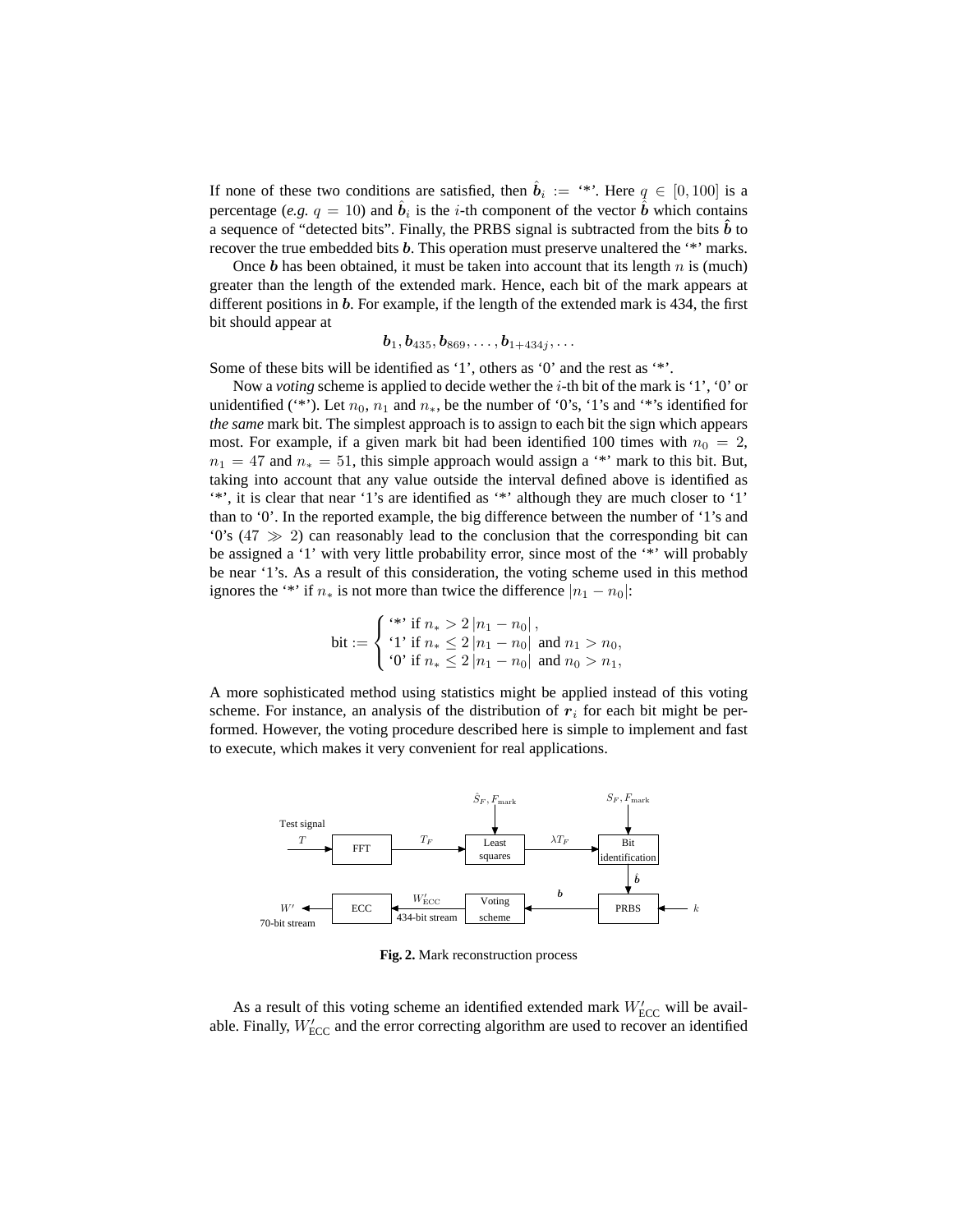If none of these two conditions are satisfied, then  $\hat{b}_i :=$  '\*'. Here  $q \in [0, 100]$  is a percentage (*e.g.*  $q = 10$ ) and  $\hat{b}_i$  is the *i*-th component of the vector  $\hat{b}$  which contains a sequence of "detected bits". Finally, the PRBS signal is subtracted from the bits  $\hat{b}$  to recover the true embedded bits b. This operation must preserve unaltered the '\*' marks.

Once b has been obtained, it must be taken into account that its length  $n$  is (much) greater than the length of the extended mark. Hence, each bit of the mark appears at different positions in  $\boldsymbol{b}$ . For example, if the length of the extended mark is 434, the first bit should appear at

$$
\bm{b}_1, \bm{b}_{435}, \bm{b}_{869}, \dots, \bm{b}_{1+434j}, \dots
$$

Some of these bits will be identified as '1', others as '0' and the rest as '\*'.

Now a *voting* scheme is applied to decide wether the i-th bit of the mark is '1', '0' or unidentified ('\*'). Let  $n_0$ ,  $n_1$  and  $n_*$ , be the number of '0's, '1's and '\*'s identified for *the same* mark bit. The simplest approach is to assign to each bit the sign which appears most. For example, if a given mark bit had been identified 100 times with  $n_0 = 2$ ,  $n_1 = 47$  and  $n_* = 51$ , this simple approach would assign a '\*' mark to this bit. But, taking into account that any value outside the interval defined above is identified as '\*', it is clear that near '1's are identified as '\*' although they are much closer to '1' than to '0'. In the reported example, the big difference between the number of '1's and '0's  $(47 \gg 2)$  can reasonably lead to the conclusion that the corresponding bit can be assigned a '1' with very little probability error, since most of the '\*' will probably be near '1's. As a result of this consideration, the voting scheme used in this method ignores the '\*' if  $n_*$  is not more than twice the difference  $|n_1 - n_0|$ :

$$
\text{bit} := \begin{cases} * & \text{if } n_* > 2 |n_1 - n_0|, \\ '1' & \text{if } n_* \le 2 |n_1 - n_0| \text{ and } n_1 > n_0, \\ '0' & \text{if } n_* \le 2 |n_1 - n_0| \text{ and } n_0 > n_1, \end{cases}
$$

A more sophisticated method using statistics might be applied instead of this voting scheme. For instance, an analysis of the distribution of  $r_i$  for each bit might be performed. However, the voting procedure described here is simple to implement and fast to execute, which makes it very convenient for real applications.



**Fig. 2.** Mark reconstruction process

As a result of this voting scheme an identified extended mark  $W'_{\text{ECC}}$  will be available. Finally,  $W'_{\text{ECC}}$  and the error correcting algorithm are used to recover an identified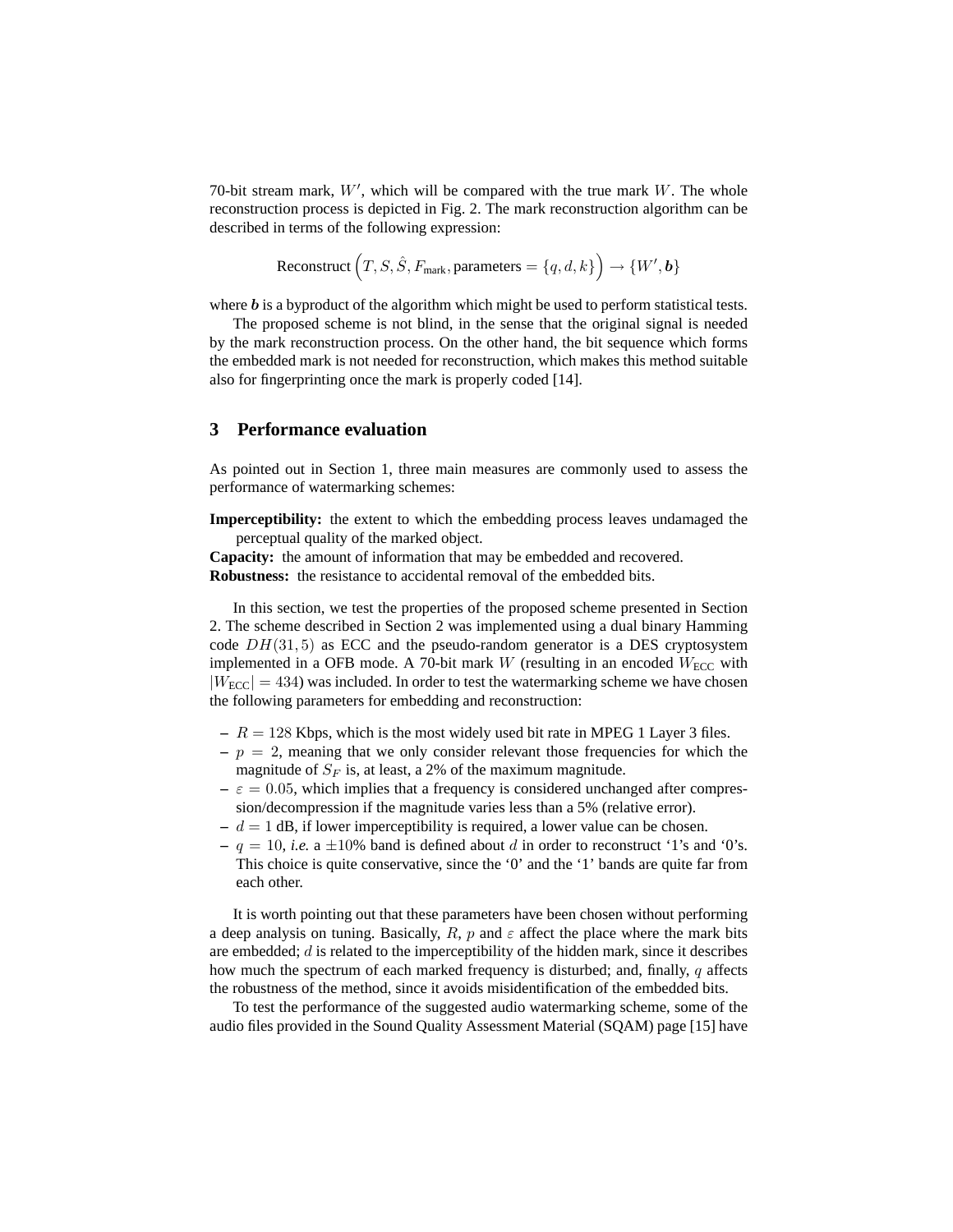70-bit stream mark,  $W'$ , which will be compared with the true mark  $W$ . The whole reconstruction process is depicted in Fig. 2. The mark reconstruction algorithm can be described in terms of the following expression:

$$
\text{Reconstruct}\left(T, S, \hat{S}, F_{\text{mark}}, \text{parameters} = \{q, d, k\}\right) \rightarrow \{W', \mathbf{b}\}\
$$

where  **is a byproduct of the algorithm which might be used to perform statistical tests.** 

The proposed scheme is not blind, in the sense that the original signal is needed by the mark reconstruction process. On the other hand, the bit sequence which forms the embedded mark is not needed for reconstruction, which makes this method suitable also for fingerprinting once the mark is properly coded [14].

## **3 Performance evaluation**

As pointed out in Section 1, three main measures are commonly used to assess the performance of watermarking schemes:

**Imperceptibility:** the extent to which the embedding process leaves undamaged the perceptual quality of the marked object.

**Capacity:** the amount of information that may be embedded and recovered. **Robustness:** the resistance to accidental removal of the embedded bits.

In this section, we test the properties of the proposed scheme presented in Section 2. The scheme described in Section 2 was implemented using a dual binary Hamming code  $DH(31, 5)$  as ECC and the pseudo-random generator is a DES cryptosystem implemented in a OFB mode. A 70-bit mark  $W$  (resulting in an encoded  $W_{\text{ECC}}$  with  $|W_{\text{ECC}}| = 434$ ) was included. In order to test the watermarking scheme we have chosen the following parameters for embedding and reconstruction:

- $R = 128$  Kbps, which is the most widely used bit rate in MPEG 1 Layer 3 files.
- $-p = 2$ , meaning that we only consider relevant those frequencies for which the magnitude of  $S_F$  is, at least, a 2% of the maximum magnitude.
- $\epsilon = 0.05$ , which implies that a frequency is considered unchanged after compression/decompression if the magnitude varies less than a 5% (relative error).
- $-d = 1$  dB, if lower imperceptibility is required, a lower value can be chosen.
- $q = 10$ , *i.e.* a  $\pm 10\%$  band is defined about d in order to reconstruct '1's and '0's. This choice is quite conservative, since the '0' and the '1' bands are quite far from each other.

It is worth pointing out that these parameters have been chosen without performing a deep analysis on tuning. Basically, R, p and  $\varepsilon$  affect the place where the mark bits are embedded;  $d$  is related to the imperceptibility of the hidden mark, since it describes how much the spectrum of each marked frequency is disturbed; and, finally,  $q$  affects the robustness of the method, since it avoids misidentification of the embedded bits.

To test the performance of the suggested audio watermarking scheme, some of the audio files provided in the Sound Quality Assessment Material (SQAM) page [15] have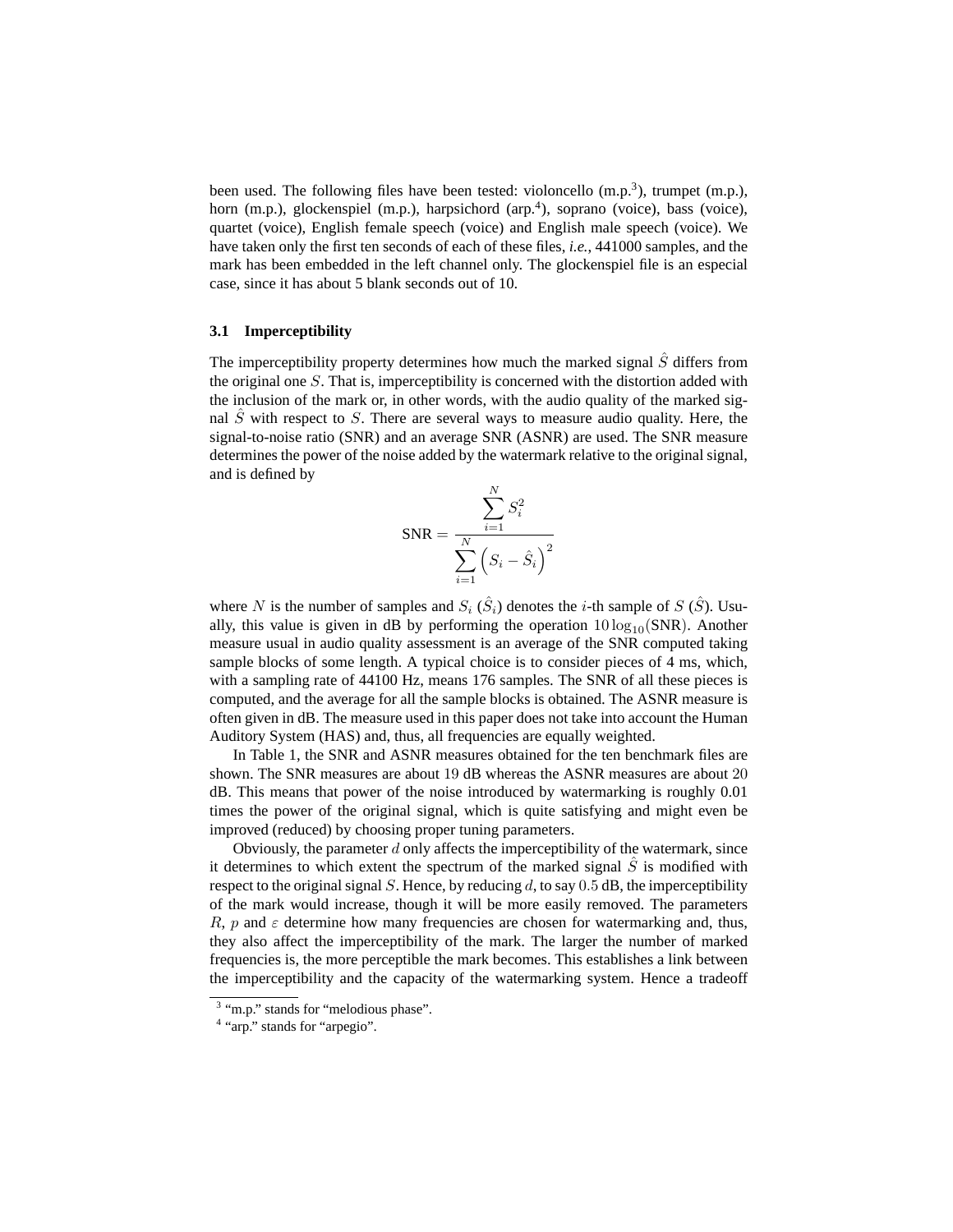been used. The following files have been tested: violoncello  $(m.p.^3)$ , trumpet  $(m.p.),$ horn (m.p.), glockenspiel (m.p.), harpsichord (arp.<sup>4</sup>), soprano (voice), bass (voice), quartet (voice), English female speech (voice) and English male speech (voice). We have taken only the first ten seconds of each of these files, *i.e.*, 441000 samples, and the mark has been embedded in the left channel only. The glockenspiel file is an especial case, since it has about 5 blank seconds out of 10.

#### **3.1 Imperceptibility**

The imperceptibility property determines how much the marked signal  $\hat{S}$  differs from the original one  $S$ . That is, imperceptibility is concerned with the distortion added with the inclusion of the mark or, in other words, with the audio quality of the marked signal  $\tilde{S}$  with respect to  $S$ . There are several ways to measure audio quality. Here, the signal-to-noise ratio (SNR) and an average SNR (ASNR) are used. The SNR measure determines the power of the noise added by the watermark relative to the original signal, and is defined by

$$
SNR = \frac{\sum_{i=1}^{N} S_i^2}{\sum_{i=1}^{N} (S_i - \hat{S}_i)^2}
$$

where N is the number of samples and  $S_i$   $(\hat{S}_i)$  denotes the *i*-th sample of S  $(\hat{S})$ . Usually, this value is given in dB by performing the operation  $10 \log_{10}(SNR)$ . Another measure usual in audio quality assessment is an average of the SNR computed taking sample blocks of some length. A typical choice is to consider pieces of 4 ms, which, with a sampling rate of 44100 Hz, means 176 samples. The SNR of all these pieces is computed, and the average for all the sample blocks is obtained. The ASNR measure is often given in dB. The measure used in this paper does not take into account the Human Auditory System (HAS) and, thus, all frequencies are equally weighted.

In Table 1, the SNR and ASNR measures obtained for the ten benchmark files are shown. The SNR measures are about 19 dB whereas the ASNR measures are about 20 dB. This means that power of the noise introduced by watermarking is roughly 0.01 times the power of the original signal, which is quite satisfying and might even be improved (reduced) by choosing proper tuning parameters.

Obviously, the parameter  $d$  only affects the imperceptibility of the watermark, since it determines to which extent the spectrum of the marked signal  $\hat{S}$  is modified with respect to the original signal S. Hence, by reducing d, to say  $0.5$  dB, the imperceptibility of the mark would increase, though it will be more easily removed. The parameters R, p and  $\varepsilon$  determine how many frequencies are chosen for watermarking and, thus, they also affect the imperceptibility of the mark. The larger the number of marked frequencies is, the more perceptible the mark becomes. This establishes a link between the imperceptibility and the capacity of the watermarking system. Hence a tradeoff

<sup>&</sup>lt;sup>3</sup> "m.p." stands for "melodious phase".

<sup>&</sup>lt;sup>4</sup> "arp." stands for "arpegio".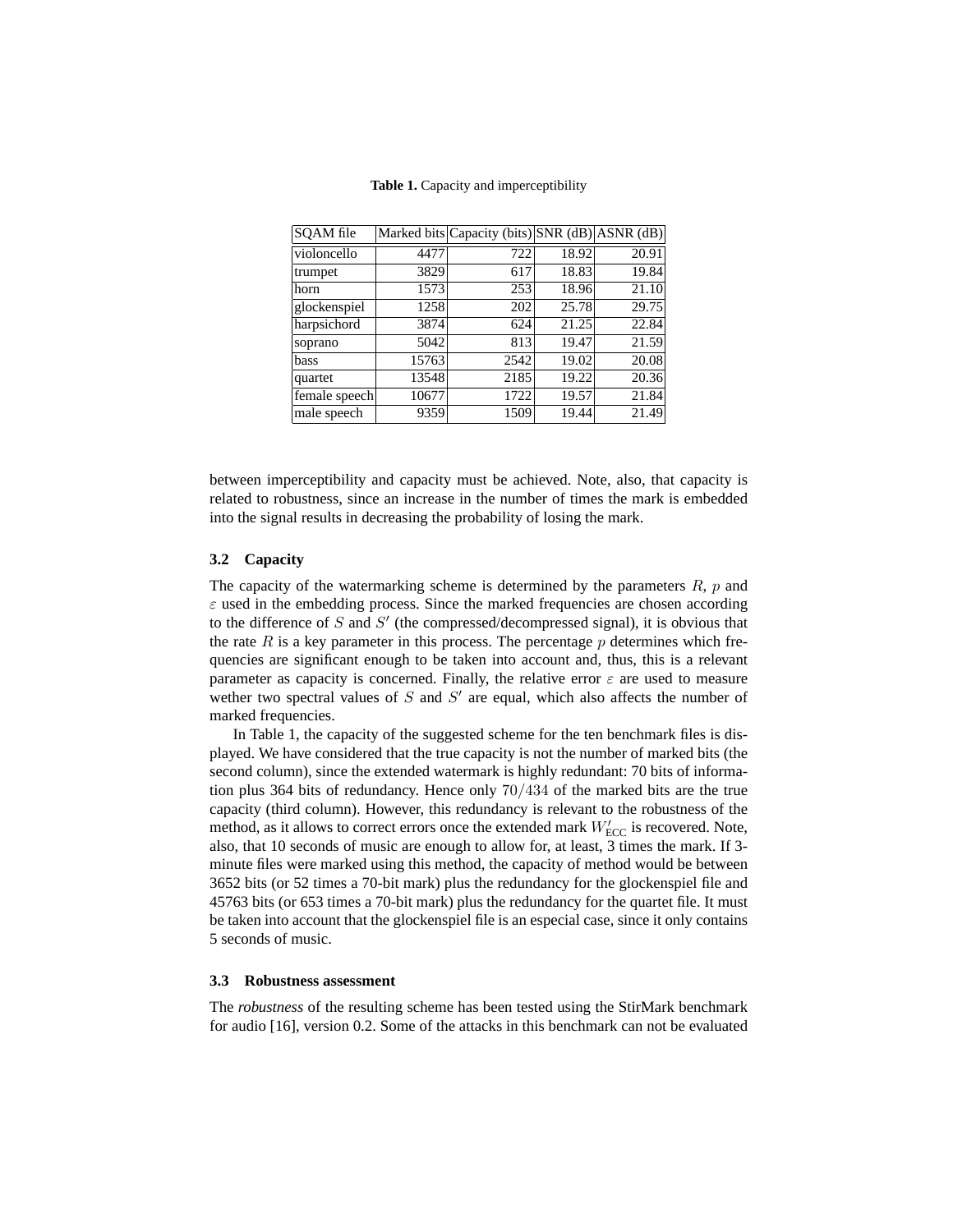| SOAM file     |       | Marked bits Capacity (bits) SNR (dB) ASNR (dB) |       |       |
|---------------|-------|------------------------------------------------|-------|-------|
| violoncello   | 4477  | 722                                            | 18.92 | 20.91 |
| trumpet       | 3829  | 617                                            | 18.83 | 19.84 |
| horn          | 1573  | 253                                            | 18.96 | 21.10 |
| glockenspiel  | 1258  | 202                                            | 25.78 | 29.75 |
| harpsichord   | 3874  | 624                                            | 21.25 | 22.84 |
| soprano       | 5042  | 813                                            | 19.47 | 21.59 |
| bass          | 15763 | 2542                                           | 19.02 | 20.08 |
| quartet       | 13548 | 2185                                           | 19.22 | 20.36 |
| female speech | 10677 | 1722                                           | 19.57 | 21.84 |
| male speech   | 9359  | 1509                                           | 19.44 | 21.49 |

**Table 1.** Capacity and imperceptibility

between imperceptibility and capacity must be achieved. Note, also, that capacity is related to robustness, since an increase in the number of times the mark is embedded into the signal results in decreasing the probability of losing the mark.

#### **3.2 Capacity**

The capacity of the watermarking scheme is determined by the parameters  $R$ ,  $p$  and  $\varepsilon$  used in the embedding process. Since the marked frequencies are chosen according to the difference of  $S$  and  $S'$  (the compressed/decompressed signal), it is obvious that the rate  $R$  is a key parameter in this process. The percentage  $p$  determines which frequencies are significant enough to be taken into account and, thus, this is a relevant parameter as capacity is concerned. Finally, the relative error  $\varepsilon$  are used to measure wether two spectral values of  $S$  and  $S'$  are equal, which also affects the number of marked frequencies.

In Table 1, the capacity of the suggested scheme for the ten benchmark files is displayed. We have considered that the true capacity is not the number of marked bits (the second column), since the extended watermark is highly redundant: 70 bits of information plus 364 bits of redundancy. Hence only  $70/434$  of the marked bits are the true capacity (third column). However, this redundancy is relevant to the robustness of the method, as it allows to correct errors once the extended mark  $W'_{\text{ECC}}$  is recovered. Note, also, that 10 seconds of music are enough to allow for, at least, 3 times the mark. If 3 minute files were marked using this method, the capacity of method would be between 3652 bits (or 52 times a 70-bit mark) plus the redundancy for the glockenspiel file and 45763 bits (or 653 times a 70-bit mark) plus the redundancy for the quartet file. It must be taken into account that the glockenspiel file is an especial case, since it only contains 5 seconds of music.

#### **3.3 Robustness assessment**

The *robustness* of the resulting scheme has been tested using the StirMark benchmark for audio [16], version 0.2. Some of the attacks in this benchmark can not be evaluated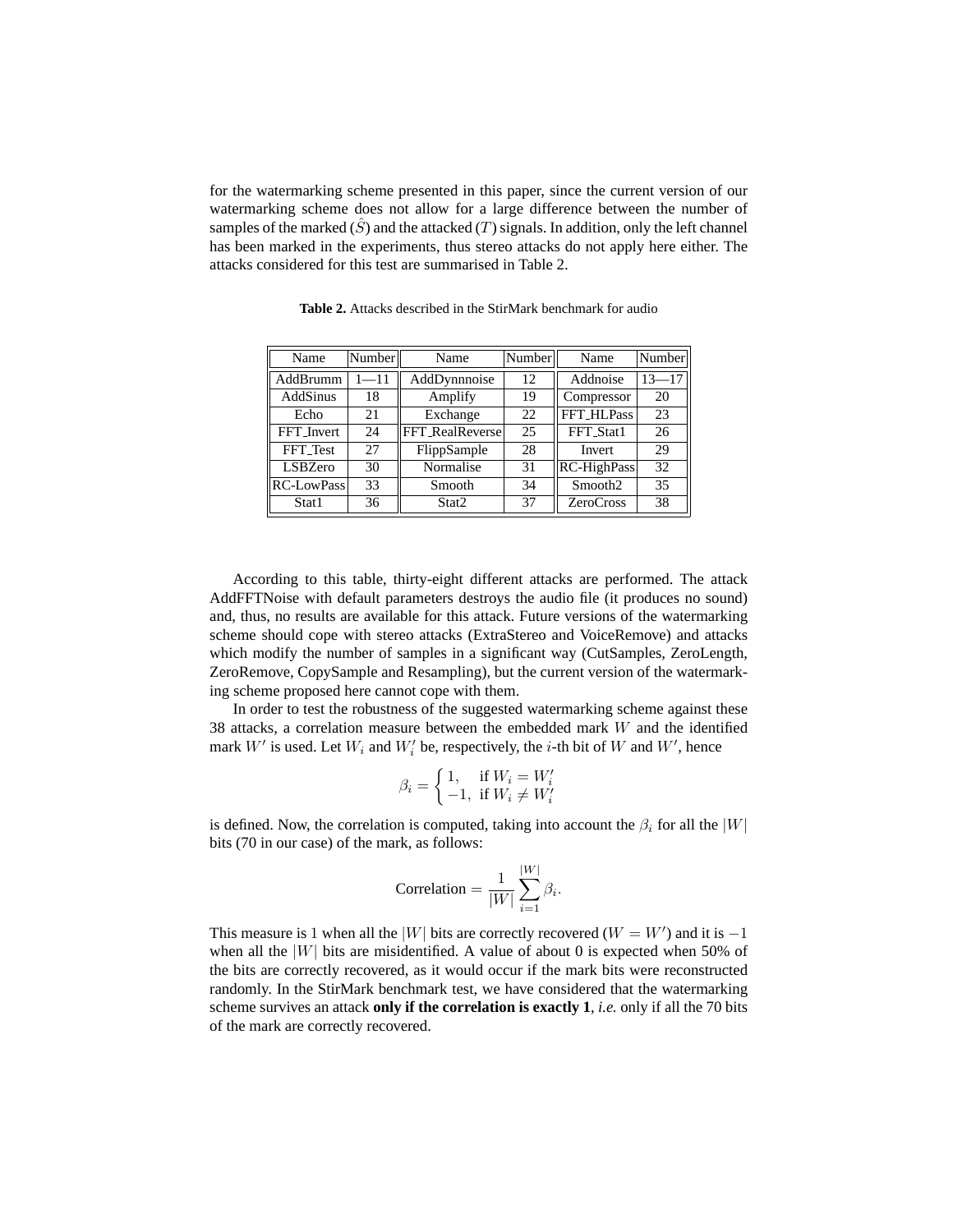for the watermarking scheme presented in this paper, since the current version of our watermarking scheme does not allow for a large difference between the number of samples of the marked  $(S)$  and the attacked  $(T)$  signals. In addition, only the left channel has been marked in the experiments, thus stereo attacks do not apply here either. The attacks considered for this test are summarised in Table 2.

| Name              | Number   | Number<br>Name  |    | Name                | Number    |
|-------------------|----------|-----------------|----|---------------------|-----------|
| AddBrumm          | $1 - 11$ | AddDynnnoise    | 12 | Addnoise            | $13 - 17$ |
| AddSinus          | 18       | Amplify         | 19 | Compressor          | 20        |
| Echo              | 21       | Exchange        | 22 | FFT_HLPass          | 23        |
| FFT_Invert        | 24       | FFT_RealReverse | 25 | FFT_Stat1           | 26        |
| FFT_Test          | 27       | FlippSample     | 28 | Invert              | 29        |
| <b>LSBZero</b>    | 30       | Normalise       | 31 | RC-HighPass         | 32        |
| <b>RC-LowPass</b> | 33       | Smooth          | 34 | Smooth <sub>2</sub> | 35        |
| Stat1             | 36       | Stat2           | 37 | <b>ZeroCross</b>    | 38        |

**Table 2.** Attacks described in the StirMark benchmark for audio

According to this table, thirty-eight different attacks are performed. The attack AddFFTNoise with default parameters destroys the audio file (it produces no sound) and, thus, no results are available for this attack. Future versions of the watermarking scheme should cope with stereo attacks (ExtraStereo and VoiceRemove) and attacks which modify the number of samples in a significant way (CutSamples, ZeroLength, ZeroRemove, CopySample and Resampling), but the current version of the watermarking scheme proposed here cannot cope with them.

In order to test the robustness of the suggested watermarking scheme against these 38 attacks, a correlation measure between the embedded mark  $W$  and the identified mark  $W'$  is used. Let  $W_i$  and  $W'_i$  be, respectively, the *i*-th bit of W and W', hence

$$
\beta_i = \begin{cases} 1, & \text{if } W_i = W'_i \\ -1, & \text{if } W_i \neq W'_i \end{cases}
$$

is defined. Now, the correlation is computed, taking into account the  $\beta_i$  for all the  $|W|$ bits (70 in our case) of the mark, as follows:

$$
\text{Correlation} = \frac{1}{|W|} \sum_{i=1}^{|W|} \beta_i.
$$

This measure is 1 when all the |W| bits are correctly recovered ( $W = W'$ ) and it is  $-1$ when all the  $|W|$  bits are misidentified. A value of about 0 is expected when 50% of the bits are correctly recovered, as it would occur if the mark bits were reconstructed randomly. In the StirMark benchmark test, we have considered that the watermarking scheme survives an attack **only if the correlation is exactly 1**, *i.e.* only if all the 70 bits of the mark are correctly recovered.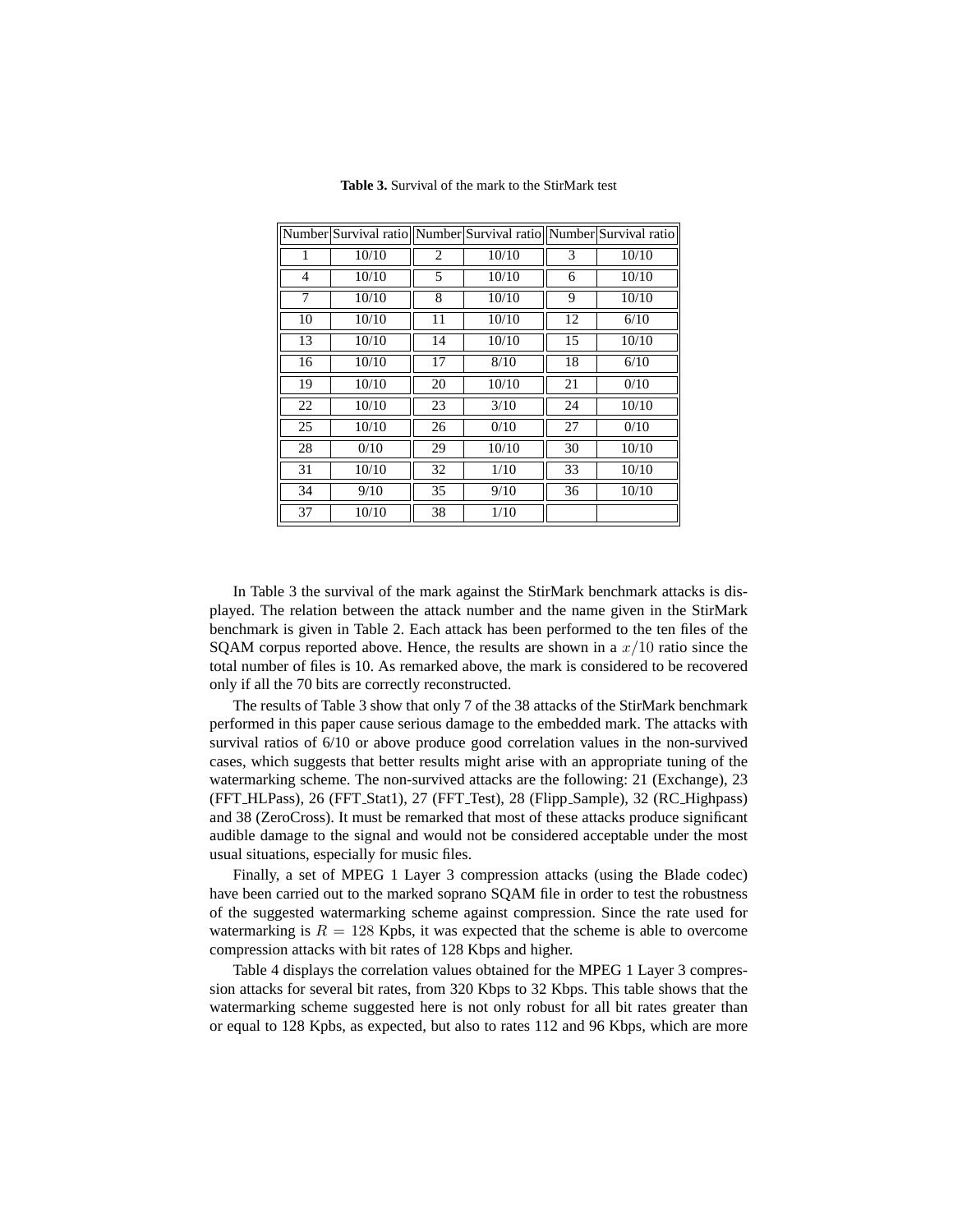|    | Number Survival ratio Number Survival ratio Number Survival ratio |    |       |    |       |
|----|-------------------------------------------------------------------|----|-------|----|-------|
| 1  | 10/10                                                             | 2  | 10/10 | 3  | 10/10 |
| 4  | 10/10                                                             | 5  | 10/10 | 6  | 10/10 |
| 7  | 10/10                                                             | 8  | 10/10 | 9  | 10/10 |
| 10 | 10/10                                                             | 11 | 10/10 | 12 | 6/10  |
| 13 | 10/10                                                             | 14 | 10/10 | 15 | 10/10 |
| 16 | 10/10                                                             | 17 | 8/10  | 18 | 6/10  |
| 19 | 10/10                                                             | 20 | 10/10 | 21 | 0/10  |
| 22 | 10/10                                                             | 23 | 3/10  | 24 | 10/10 |
| 25 | 10/10                                                             | 26 | 0/10  | 27 | 0/10  |
| 28 | 0/10                                                              | 29 | 10/10 | 30 | 10/10 |
| 31 | 10/10                                                             | 32 | 1/10  | 33 | 10/10 |
| 34 | 9/10                                                              | 35 | 9/10  | 36 | 10/10 |
| 37 | 10/10                                                             | 38 | 1/10  |    |       |

**Table 3.** Survival of the mark to the StirMark test

In Table 3 the survival of the mark against the StirMark benchmark attacks is displayed. The relation between the attack number and the name given in the StirMark benchmark is given in Table 2. Each attack has been performed to the ten files of the SQAM corpus reported above. Hence, the results are shown in a  $x/10$  ratio since the total number of files is 10. As remarked above, the mark is considered to be recovered only if all the 70 bits are correctly reconstructed.

The results of Table 3 show that only 7 of the 38 attacks of the StirMark benchmark performed in this paper cause serious damage to the embedded mark. The attacks with survival ratios of 6/10 or above produce good correlation values in the non-survived cases, which suggests that better results might arise with an appropriate tuning of the watermarking scheme. The non-survived attacks are the following: 21 (Exchange), 23 (FFT HLPass), 26 (FFT Stat1), 27 (FFT Test), 28 (Flipp Sample), 32 (RC Highpass) and 38 (ZeroCross). It must be remarked that most of these attacks produce significant audible damage to the signal and would not be considered acceptable under the most usual situations, especially for music files.

Finally, a set of MPEG 1 Layer 3 compression attacks (using the Blade codec) have been carried out to the marked soprano SQAM file in order to test the robustness of the suggested watermarking scheme against compression. Since the rate used for watermarking is  $R = 128$  Kpbs, it was expected that the scheme is able to overcome compression attacks with bit rates of 128 Kbps and higher.

Table 4 displays the correlation values obtained for the MPEG 1 Layer 3 compression attacks for several bit rates, from 320 Kbps to 32 Kbps. This table shows that the watermarking scheme suggested here is not only robust for all bit rates greater than or equal to 128 Kpbs, as expected, but also to rates 112 and 96 Kbps, which are more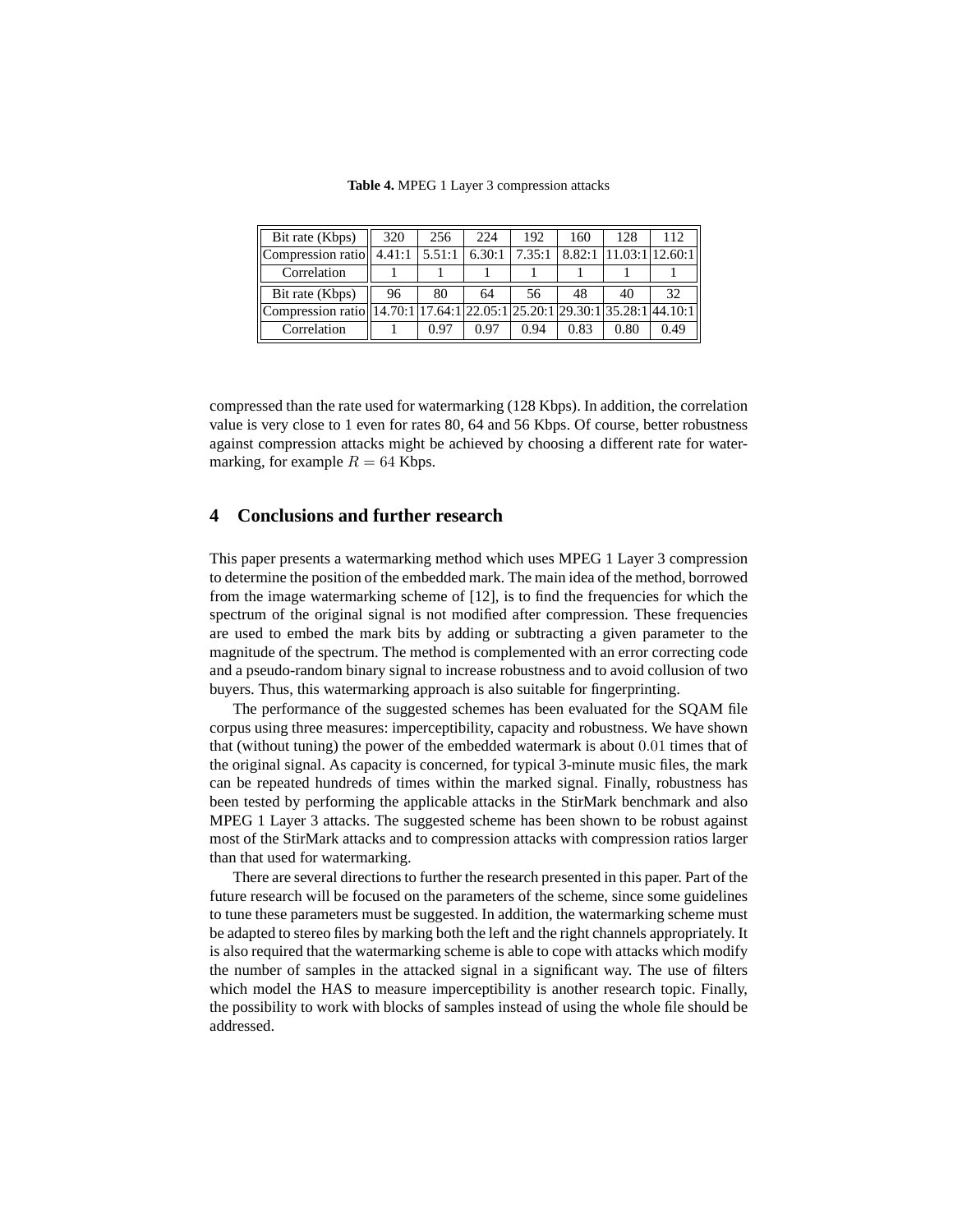| Table 4. MPEG 1 Layer 3 compression attacks |  |  |  |
|---------------------------------------------|--|--|--|
|---------------------------------------------|--|--|--|

| Bit rate (Kbps)                                                           | 320 | 256                              | 224  | 192  | 160                  | 128            | 112  |
|---------------------------------------------------------------------------|-----|----------------------------------|------|------|----------------------|----------------|------|
| Compression ratio                                                         |     | $4.41:1 \mid 5.51:1 \mid 6.30:1$ |      |      | $7.35:1 \mid 8.82:1$ | 11.03:112.60:1 |      |
| Correlation                                                               |     |                                  |      |      |                      |                |      |
| Bit rate (Kbps)                                                           | 96  | 80                               | 64   | 56   | 48                   | 40             | 32   |
| Compression ratio 14.70:1 17.64:1 22.05:1 25.20:1 29.30:1 35.28:1 44.10:1 |     |                                  |      |      |                      |                |      |
| Correlation                                                               |     | 0 97                             | 0.97 | 0.94 | 0.83                 | 0.80           | 0.49 |

compressed than the rate used for watermarking (128 Kbps). In addition, the correlation value is very close to 1 even for rates 80, 64 and 56 Kbps. Of course, better robustness against compression attacks might be achieved by choosing a different rate for watermarking, for example  $R = 64$  Kbps.

# **4 Conclusions and further research**

This paper presents a watermarking method which uses MPEG 1 Layer 3 compression to determine the position of the embedded mark. The main idea of the method, borrowed from the image watermarking scheme of [12], is to find the frequencies for which the spectrum of the original signal is not modified after compression. These frequencies are used to embed the mark bits by adding or subtracting a given parameter to the magnitude of the spectrum. The method is complemented with an error correcting code and a pseudo-random binary signal to increase robustness and to avoid collusion of two buyers. Thus, this watermarking approach is also suitable for fingerprinting.

The performance of the suggested schemes has been evaluated for the SQAM file corpus using three measures: imperceptibility, capacity and robustness. We have shown that (without tuning) the power of the embedded watermark is about 0.01 times that of the original signal. As capacity is concerned, for typical 3-minute music files, the mark can be repeated hundreds of times within the marked signal. Finally, robustness has been tested by performing the applicable attacks in the StirMark benchmark and also MPEG 1 Layer 3 attacks. The suggested scheme has been shown to be robust against most of the StirMark attacks and to compression attacks with compression ratios larger than that used for watermarking.

There are several directions to further the research presented in this paper. Part of the future research will be focused on the parameters of the scheme, since some guidelines to tune these parameters must be suggested. In addition, the watermarking scheme must be adapted to stereo files by marking both the left and the right channels appropriately. It is also required that the watermarking scheme is able to cope with attacks which modify the number of samples in the attacked signal in a significant way. The use of filters which model the HAS to measure imperceptibility is another research topic. Finally, the possibility to work with blocks of samples instead of using the whole file should be addressed.